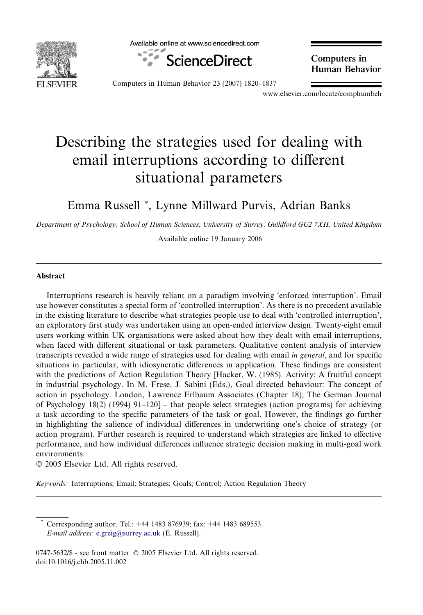

Available online at www.sciencedirect.com



Computers in Human Behavior

Computers in Human Behavior 23 (2007) 1820–1837

www.elsevier.com/locate/comphumbeh

# Describing the strategies used for dealing with email interruptions according to different situational parameters

# Emma Russell \*, Lynne Millward Purvis, Adrian Banks

Department of Psychology, School of Human Sciences, University of Surrey, Guildford GU2 7XH, United Kingdom

Available online 19 January 2006

#### **Abstract**

Interruptions research is heavily reliant on a paradigm involving 'enforced interruption'. Email use however constitutes a special form of 'controlled interruption'. As there is no precedent available in the existing literature to describe what strategies people use to deal with 'controlled interruption', an exploratory first study was undertaken using an open-ended interview design. Twenty-eight email users working within UK organisations were asked about how they dealt with email interruptions, when faced with different situational or task parameters. Qualitative content analysis of interview transcripts revealed a wide range of strategies used for dealing with email in general, and for specific situations in particular, with idiosyncratic differences in application. These findings are consistent with the predictions of Action Regulation Theory [Hacker, W. (1985). Activity: A fruitful concept in industrial psychology. In M. Frese, J. Sabini (Eds.), Goal directed behaviour: The concept of action in psychology. London, Lawrence Erlbaum Associates (Chapter 18); The German Journal of Psychology 18(2) (1994) 91–120] – that people select strategies (action programs) for achieving a task according to the specific parameters of the task or goal. However, the findings go further in highlighting the salience of individual differences in underwriting one's choice of strategy (or action program). Further research is required to understand which strategies are linked to effective performance, and how individual differences influence strategic decision making in multi-goal work environments.

© 2005 Elsevier Ltd. All rights reserved.

Keywords: Interruptions; Email; Strategies; Goals; Control; Action Regulation Theory

Corresponding author. Tel.: +44 1483 876939; fax: +44 1483 689553. E-mail address: [e.greig@surrey.ac.uk](mailto:e.greig@surrey.ac.uk) (E. Russell).

<sup>0747-5632/\$ -</sup> see front matter © 2005 Elsevier Ltd. All rights reserved. doi:10.1016/j.chb.2005.11.002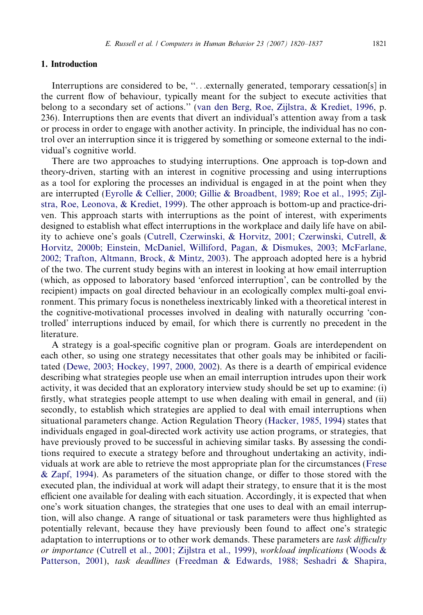#### 1. Introduction

Interruptions are considered to be, "...externally generated, temporary cessation[s] in the current flow of behaviour, typically meant for the subject to execute activities that belong to a secondary set of actions.'' [\(van den Berg, Roe, Zijlstra, & Krediet, 1996](#page-17-0), p. 236). Interruptions then are events that divert an individual's attention away from a task or process in order to engage with another activity. In principle, the individual has no control over an interruption since it is triggered by something or someone external to the individual's cognitive world.

There are two approaches to studying interruptions. One approach is top-down and theory-driven, starting with an interest in cognitive processing and using interruptions as a tool for exploring the processes an individual is engaged in at the point when they are interrupted [\(Eyrolle & Cellier, 2000; Gillie & Broadbent, 1989; Roe et al., 1995; Zijl](#page-16-0)[stra, Roe, Leonova, & Krediet, 1999\)](#page-16-0). The other approach is bottom-up and practice-driven. This approach starts with interruptions as the point of interest, with experiments designed to establish what effect interruptions in the workplace and daily life have on ability to achieve one's goals ([Cutrell, Czerwinski, & Horvitz, 2001; Czerwinski, Cutrell, &](#page-16-0) [Horvitz, 2000b; Einstein, McDaniel, Williford, Pagan, & Dismukes, 2003; McFarlane,](#page-16-0) [2002; Trafton, Altmann, Brock, & Mintz, 2003](#page-16-0)). The approach adopted here is a hybrid of the two. The current study begins with an interest in looking at how email interruption (which, as opposed to laboratory based 'enforced interruption', can be controlled by the recipient) impacts on goal directed behaviour in an ecologically complex multi-goal environment. This primary focus is nonetheless inextricably linked with a theoretical interest in the cognitive-motivational processes involved in dealing with naturally occurring 'controlled' interruptions induced by email, for which there is currently no precedent in the literature.

A strategy is a goal-specific cognitive plan or program. Goals are interdependent on each other, so using one strategy necessitates that other goals may be inhibited or facilitated [\(Dewe, 2003; Hockey, 1997, 2000, 2002\)](#page-16-0). As there is a dearth of empirical evidence describing what strategies people use when an email interruption intrudes upon their work activity, it was decided that an exploratory interview study should be set up to examine: (i) firstly, what strategies people attempt to use when dealing with email in general, and (ii) secondly, to establish which strategies are applied to deal with email interruptions when situational parameters change. Action Regulation Theory ([Hacker, 1985, 1994](#page-16-0)) states that individuals engaged in goal-directed work activity use action programs, or strategies, that have previously proved to be successful in achieving similar tasks. By assessing the conditions required to execute a strategy before and throughout undertaking an activity, individuals at work are able to retrieve the most appropriate plan for the circumstances ([Frese](#page-16-0) [& Zapf, 1994](#page-16-0)). As parameters of the situation change, or differ to those stored with the executed plan, the individual at work will adapt their strategy, to ensure that it is the most efficient one available for dealing with each situation. Accordingly, it is expected that when one's work situation changes, the strategies that one uses to deal with an email interruption, will also change. A range of situational or task parameters were thus highlighted as potentially relevant, because they have previously been found to affect one's strategic adaptation to interruptions or to other work demands. These parameters are task difficulty or importance [\(Cutrell et al., 2001; Zijlstra et al., 1999\)](#page-16-0), workload implications ([Woods &](#page-17-0) [Patterson, 2001\)](#page-17-0), task deadlines ([Freedman & Edwards, 1988; Seshadri & Shapira,](#page-16-0)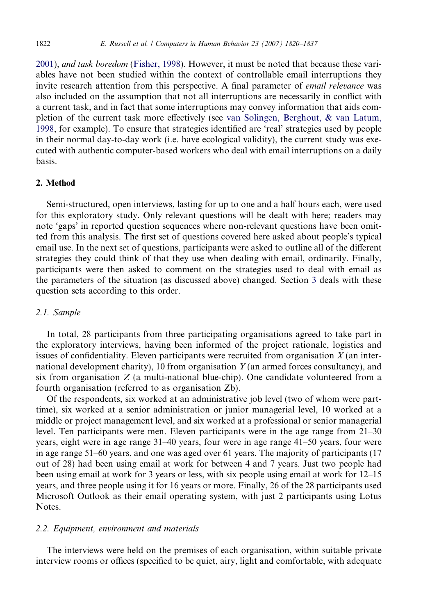[2001\)](#page-16-0), and task boredom ([Fisher, 1998\)](#page-16-0). However, it must be noted that because these variables have not been studied within the context of controllable email interruptions they invite research attention from this perspective. A final parameter of email relevance was also included on the assumption that not all interruptions are necessarily in conflict with a current task, and in fact that some interruptions may convey information that aids completion of the current task more effectively (see [van Solingen, Berghout, & van Latum,](#page-17-0) [1998,](#page-17-0) for example). To ensure that strategies identified are 'real' strategies used by people in their normal day-to-day work (i.e. have ecological validity), the current study was executed with authentic computer-based workers who deal with email interruptions on a daily basis.

# 2. Method

Semi-structured, open interviews, lasting for up to one and a half hours each, were used for this exploratory study. Only relevant questions will be dealt with here; readers may note 'gaps' in reported question sequences where non-relevant questions have been omitted from this analysis. The first set of questions covered here asked about people's typical email use. In the next set of questions, participants were asked to outline all of the different strategies they could think of that they use when dealing with email, ordinarily. Finally, participants were then asked to comment on the strategies used to deal with email as the parameters of the situation (as discussed above) changed. Section [3](#page-7-0) deals with these question sets according to this order.

#### 2.1. Sample

In total, 28 participants from three participating organisations agreed to take part in the exploratory interviews, having been informed of the project rationale, logistics and issues of confidentiality. Eleven participants were recruited from organisation  $X$  (an international development charity), 10 from organisation  $Y$  (an armed forces consultancy), and six from organisation  $Z$  (a multi-national blue-chip). One candidate volunteered from a fourth organisation (referred to as organisation Zb).

Of the respondents, six worked at an administrative job level (two of whom were parttime), six worked at a senior administration or junior managerial level, 10 worked at a middle or project management level, and six worked at a professional or senior managerial level. Ten participants were men. Eleven participants were in the age range from 21–30 years, eight were in age range 31–40 years, four were in age range 41–50 years, four were in age range 51–60 years, and one was aged over 61 years. The majority of participants (17 out of 28) had been using email at work for between 4 and 7 years. Just two people had been using email at work for 3 years or less, with six people using email at work for 12–15 years, and three people using it for 16 years or more. Finally, 26 of the 28 participants used Microsoft Outlook as their email operating system, with just 2 participants using Lotus Notes.

#### 2.2. Equipment, environment and materials

The interviews were held on the premises of each organisation, within suitable private interview rooms or offices (specified to be quiet, airy, light and comfortable, with adequate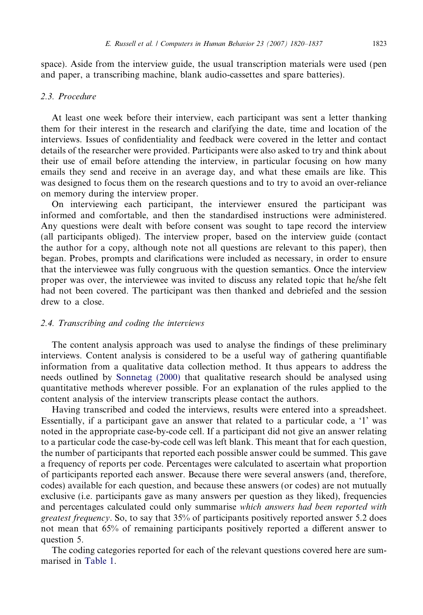space). Aside from the interview guide, the usual transcription materials were used (pen and paper, a transcribing machine, blank audio-cassettes and spare batteries).

#### 2.3. Procedure

At least one week before their interview, each participant was sent a letter thanking them for their interest in the research and clarifying the date, time and location of the interviews. Issues of confidentiality and feedback were covered in the letter and contact details of the researcher were provided. Participants were also asked to try and think about their use of email before attending the interview, in particular focusing on how many emails they send and receive in an average day, and what these emails are like. This was designed to focus them on the research questions and to try to avoid an over-reliance on memory during the interview proper.

On interviewing each participant, the interviewer ensured the participant was informed and comfortable, and then the standardised instructions were administered. Any questions were dealt with before consent was sought to tape record the interview (all participants obliged). The interview proper, based on the interview guide (contact the author for a copy, although note not all questions are relevant to this paper), then began. Probes, prompts and clarifications were included as necessary, in order to ensure that the interviewee was fully congruous with the question semantics. Once the interview proper was over, the interviewee was invited to discuss any related topic that he/she felt had not been covered. The participant was then thanked and debriefed and the session drew to a close.

#### 2.4. Transcribing and coding the interviews

The content analysis approach was used to analyse the findings of these preliminary interviews. Content analysis is considered to be a useful way of gathering quantifiable information from a qualitative data collection method. It thus appears to address the needs outlined by [Sonnetag \(2000\)](#page-17-0) that qualitative research should be analysed using quantitative methods wherever possible. For an explanation of the rules applied to the content analysis of the interview transcripts please contact the authors.

Having transcribed and coded the interviews, results were entered into a spreadsheet. Essentially, if a participant gave an answer that related to a particular code, a '1' was noted in the appropriate case-by-code cell. If a participant did not give an answer relating to a particular code the case-by-code cell was left blank. This meant that for each question, the number of participants that reported each possible answer could be summed. This gave a frequency of reports per code. Percentages were calculated to ascertain what proportion of participants reported each answer. Because there were several answers (and, therefore, codes) available for each question, and because these answers (or codes) are not mutually exclusive (i.e. participants gave as many answers per question as they liked), frequencies and percentages calculated could only summarise which answers had been reported with greatest frequency. So, to say that 35% of participants positively reported answer 5.2 does not mean that 65% of remaining participants positively reported a different answer to question 5.

The coding categories reported for each of the relevant questions covered here are summarised in [Table 1](#page-4-0).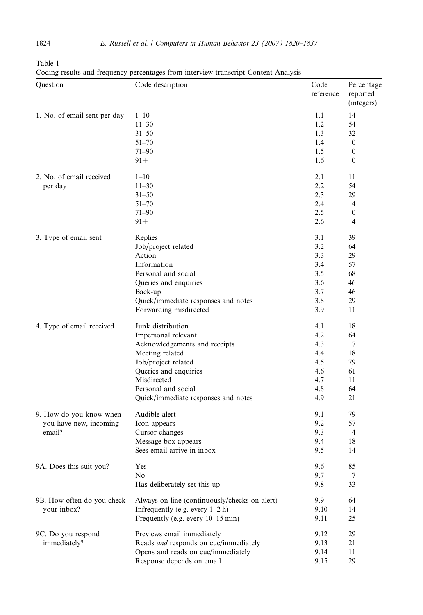| Question                         | Code description                              | Code<br>reference | Percentage<br>reported<br>(integers) |
|----------------------------------|-----------------------------------------------|-------------------|--------------------------------------|
| 1. No. of email sent per day     | $1 - 10$                                      | 1.1               | 14                                   |
|                                  | $11 - 30$                                     | 1.2               | 54                                   |
|                                  | $31 - 50$                                     | 1.3               | 32                                   |
|                                  | $51 - 70$                                     | 1.4               | $\overline{0}$                       |
|                                  | $71 - 90$                                     | 1.5               | $\boldsymbol{0}$                     |
|                                  | $91+$                                         | 1.6               | $\mathbf{0}$                         |
| 2. No. of email received         | $1 - 10$                                      | 2.1               | 11                                   |
|                                  |                                               |                   |                                      |
| per day                          | $11 - 30$                                     | $2.2\,$           | 54                                   |
|                                  | $31 - 50$                                     | 2.3               | 29                                   |
|                                  | $51 - 70$                                     | 2.4               | 4                                    |
|                                  | $71 - 90$<br>$91+$                            | 2.5<br>2.6        | $\mathbf{0}$<br>4                    |
|                                  |                                               |                   |                                      |
| 3. Type of email sent            | Replies                                       | 3.1               | 39                                   |
|                                  | Job/project related                           | 3.2               | 64                                   |
|                                  | Action                                        | 3.3               | 29                                   |
|                                  | Information                                   | 3.4               | 57                                   |
|                                  | Personal and social                           | 3.5               | 68                                   |
|                                  | Queries and enquiries                         | 3.6               | 46                                   |
|                                  | Back-up                                       | 3.7               | 46                                   |
|                                  | Quick/immediate responses and notes           | 3.8               | 29                                   |
|                                  | Forwarding misdirected                        | 3.9               | 11                                   |
| 4. Type of email received        | Junk distribution                             | 4.1               | 18                                   |
|                                  | Impersonal relevant                           | 4.2               | 64                                   |
|                                  | Acknowledgements and receipts                 | 4.3               | 7                                    |
|                                  | Meeting related                               | 4.4               | 18                                   |
|                                  | Job/project related                           | 4.5               | 79                                   |
|                                  | Queries and enquiries                         | 4.6               | 61                                   |
|                                  | Misdirected                                   | 4.7               | 11                                   |
|                                  | Personal and social                           | 4.8               | 64                                   |
|                                  | Quick/immediate responses and notes           | 4.9               | 21                                   |
| 9. How do you know when          | Audible alert                                 | 9.1               | 79                                   |
|                                  | Icon appears                                  | 9.2               | 57                                   |
| you have new, incoming<br>email? | Cursor changes                                | 9.3               | 4                                    |
|                                  | Message box appears                           | 9.4               | 18                                   |
|                                  | Sees email arrive in inbox                    | 9.5               | 14                                   |
| 9A. Does this suit you?          |                                               |                   |                                      |
|                                  | Yes                                           | 9.6               | 85                                   |
|                                  | No<br>Has deliberately set this up            | 9.7<br>9.8        | 7<br>33                              |
|                                  |                                               |                   |                                      |
| 9B. How often do you check       | Always on-line (continuously/checks on alert) | 9.9               | 64                                   |
| your inbox?                      | Infrequently (e.g. every $1-2$ h)             | 9.10              | 14                                   |
|                                  | Frequently (e.g. every 10–15 min)             | 9.11              | 25                                   |
| 9C. Do you respond               | Previews email immediately                    | 9.12              | 29                                   |
| immediately?                     | Reads and responds on cue/immediately         | 9.13              | 21                                   |
|                                  | Opens and reads on cue/immediately            | 9.14              | 11                                   |
|                                  | Response depends on email                     | 9.15              | 29                                   |

<span id="page-4-0"></span>Table 1 Coding results and frequency percentages from interview transcript Content Analysis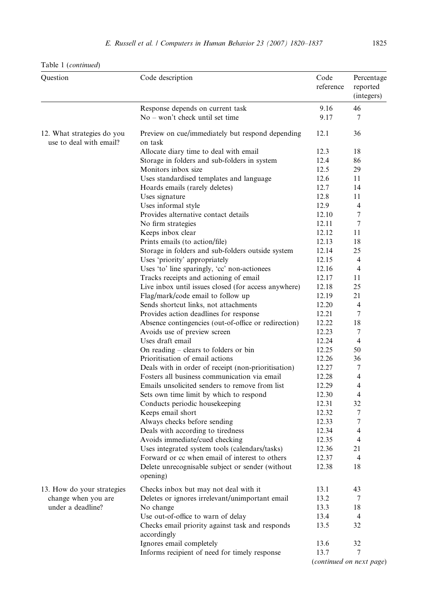Table 1 (continued)

| Question                                              | Code description                                               | Code<br>reference | Percentage<br>reported<br>(integers) |
|-------------------------------------------------------|----------------------------------------------------------------|-------------------|--------------------------------------|
|                                                       | Response depends on current task                               | 9.16              | 46                                   |
|                                                       | No – won't check until set time                                | 9.17              | 7                                    |
| 12. What strategies do you<br>use to deal with email? | Preview on cue/immediately but respond depending<br>on task    | 12.1              | 36                                   |
|                                                       | Allocate diary time to deal with email                         | 12.3              | 18                                   |
|                                                       | Storage in folders and sub-folders in system                   | 12.4              | 86                                   |
|                                                       | Monitors inbox size                                            | 12.5              | 29                                   |
|                                                       | Uses standardised templates and language                       | 12.6              | 11                                   |
|                                                       | Hoards emails (rarely deletes)                                 | 12.7              | 14                                   |
|                                                       | Uses signature                                                 | 12.8              | 11                                   |
|                                                       | Uses informal style                                            | 12.9              | 4                                    |
|                                                       | Provides alternative contact details                           | 12.10             | 7                                    |
|                                                       | No firm strategies                                             | 12.11             | 7                                    |
|                                                       | Keeps inbox clear                                              | 12.12             | 11                                   |
|                                                       | Prints emails (to action/file)                                 | 12.13             | 18                                   |
|                                                       | Storage in folders and sub-folders outside system              | 12.14             | 25                                   |
|                                                       | Uses 'priority' appropriately                                  | 12.15             | $\overline{4}$                       |
|                                                       | Uses 'to' line sparingly, 'cc' non-actionees                   | 12.16             | 4                                    |
|                                                       | Tracks receipts and actioning of email                         | 12.17             | 11                                   |
|                                                       | Live inbox until issues closed (for access anywhere)           | 12.18             | 25                                   |
|                                                       | Flag/mark/code email to follow up                              | 12.19             | 21                                   |
|                                                       | Sends shortcut links, not attachments                          | 12.20             | 4                                    |
|                                                       | Provides action deadlines for response                         | 12.21             | 7                                    |
|                                                       | Absence contingencies (out-of-office or redirection)           | 12.22             | 18                                   |
|                                                       | Avoids use of preview screen                                   | 12.23             | 7                                    |
|                                                       | Uses draft email                                               | 12.24             | $\overline{4}$                       |
|                                                       | On reading - clears to folders or bin                          | 12.25             | 50                                   |
|                                                       | Prioritisation of email actions                                | 12.26             | 36                                   |
|                                                       | Deals with in order of receipt (non-prioritisation)            | 12.27             | 7                                    |
|                                                       | Fosters all business communication via email                   | 12.28             | 4                                    |
|                                                       | Emails unsolicited senders to remove from list                 | 12.29             | 4                                    |
|                                                       | Sets own time limit by which to respond                        | 12.30             | 4                                    |
|                                                       | Conducts periodic housekeeping                                 | 12.31             | 32                                   |
|                                                       | Keeps email short                                              | 12.32             | 7                                    |
|                                                       | Always checks before sending                                   | 12.33             | 7                                    |
|                                                       | Deals with according to tiredness                              | 12.34             | $\overline{4}$                       |
|                                                       | Avoids immediate/cued checking                                 | 12.35             | 4                                    |
|                                                       | Uses integrated system tools (calendars/tasks)                 | 12.36             | 21                                   |
|                                                       | Forward or cc when email of interest to others                 | 12.37             | 4                                    |
|                                                       | Delete unrecognisable subject or sender (without<br>opening)   | 12.38             | 18                                   |
| 13. How do your strategies                            | Checks inbox but may not deal with it                          | 13.1              | 43                                   |
| change when you are                                   | Deletes or ignores irrelevant/unimportant email                | 13.2              | 7                                    |
| under a deadline?                                     | No change                                                      | 13.3              | 18                                   |
|                                                       | Use out-of-office to warn of delay                             | 13.4              | 4                                    |
|                                                       | Checks email priority against task and responds<br>accordingly | 13.5              | 32                                   |
|                                                       | Ignores email completely                                       | 13.6              | 32                                   |
|                                                       | Informs recipient of need for timely response                  | 13.7              | 7                                    |
|                                                       |                                                                |                   |                                      |

(continued on next page)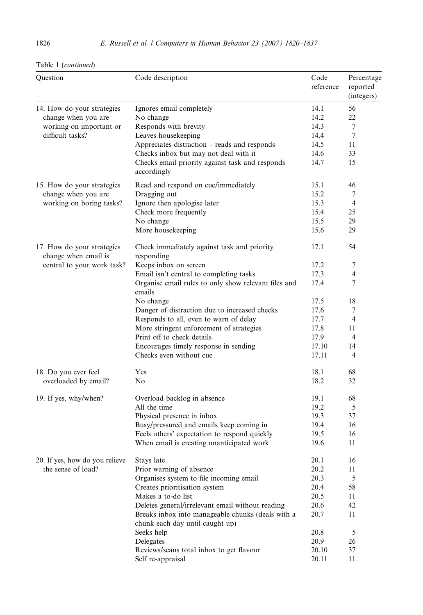| Question                                                                                         | Code description                                                                     | Code<br>reference | Percentage<br>reported<br>(integers) |
|--------------------------------------------------------------------------------------------------|--------------------------------------------------------------------------------------|-------------------|--------------------------------------|
| 14. How do your strategies<br>change when you are<br>working on important or<br>difficult tasks? | Ignores email completely                                                             | 14.1              | 56                                   |
|                                                                                                  | No change                                                                            | 14.2              | 22                                   |
|                                                                                                  | Responds with brevity                                                                | 14.3              | 7                                    |
|                                                                                                  | Leaves housekeeping                                                                  | 14.4              | 7                                    |
|                                                                                                  | Appreciates distraction - reads and responds                                         | 14.5              | 11                                   |
|                                                                                                  | Checks inbox but may not deal with it                                                | 14.6              | 33                                   |
|                                                                                                  | Checks email priority against task and responds<br>accordingly                       | 14.7              | 15                                   |
| 15. How do your strategies                                                                       | Read and respond on cue/immediately                                                  | 15.1              | 46                                   |
| change when you are                                                                              | Dragging out                                                                         | 15.2              | 7                                    |
| working on boring tasks?                                                                         | Ignore then apologise later                                                          | 15.3              | $\overline{4}$                       |
|                                                                                                  | Check more frequently                                                                | 15.4              | 25                                   |
|                                                                                                  | No change                                                                            | 15.5              | 29                                   |
|                                                                                                  | More housekeeping                                                                    | 15.6              | 29                                   |
| 17. How do your strategies<br>change when email is                                               | Check immediately against task and priority<br>responding                            | 17.1              | 54                                   |
| central to your work task?                                                                       | Keeps inbox on screen                                                                | 17.2              | 7                                    |
|                                                                                                  | Email isn't central to completing tasks                                              | 17.3              | $\overline{4}$                       |
|                                                                                                  | Organise email rules to only show relevant files and<br>emails                       | 17.4              | 7                                    |
|                                                                                                  | No change                                                                            | 17.5              | 18                                   |
|                                                                                                  | Danger of distraction due to increased checks                                        | 17.6              | 7                                    |
|                                                                                                  | Responds to all, even to warn of delay                                               | 17.7              | 4                                    |
|                                                                                                  | More stringent enforcement of strategies                                             | 17.8              | 11                                   |
|                                                                                                  | Print off to check details                                                           | 17.9              | 4                                    |
|                                                                                                  | Encourages timely response in sending                                                | 17.10             | 14                                   |
|                                                                                                  | Checks even without cue                                                              | 17.11             | 4                                    |
| 18. Do you ever feel                                                                             | Yes                                                                                  | 18.1              | 68                                   |
| overloaded by email?                                                                             | No                                                                                   | 18.2              | 32                                   |
| 19. If yes, why/when?                                                                            | Overload backlog in absence                                                          | 19.1              | 68                                   |
|                                                                                                  | All the time                                                                         | 19.2              | 5                                    |
|                                                                                                  | Physical presence in inbox                                                           | 19.3              | 37                                   |
|                                                                                                  | Busy/pressured and emails keep coming in                                             | 19.4              | 16                                   |
|                                                                                                  | Feels others' expectation to respond quickly                                         | 19.5              | 16                                   |
|                                                                                                  | When email is creating unanticipated work                                            | 19.6              | 11                                   |
| 20. If yes, how do you relieve                                                                   | Stays late                                                                           | 20.1              | 16                                   |
| the sense of load?                                                                               | Prior warning of absence                                                             | 20.2              | 11                                   |
|                                                                                                  | Organises system to file incoming email                                              | 20.3              | $\sqrt{5}$                           |
|                                                                                                  | Creates prioritisation system                                                        | 20.4              | 58                                   |
|                                                                                                  | Makes a to-do list                                                                   | 20.5              | 11                                   |
|                                                                                                  | Deletes general/irrelevant email without reading                                     | 20.6              | 42                                   |
|                                                                                                  | Breaks inbox into manageable chunks (deals with a<br>chunk each day until caught up) | 20.7              | 11                                   |
|                                                                                                  | Seeks help                                                                           | 20.8              | 5                                    |
|                                                                                                  | Delegates                                                                            | 20.9              | 26                                   |
|                                                                                                  | Reviews/scans total inbox to get flavour                                             | 20.10             | 37                                   |
|                                                                                                  | Self re-appraisal                                                                    | 20.11             | 11                                   |

Table 1 (continued)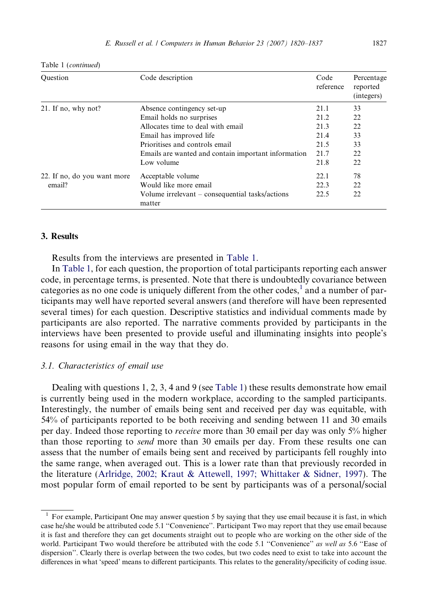| Ouestion                              | Code description                                          | Code<br>reference | Percentage<br>reported<br>(integers) |
|---------------------------------------|-----------------------------------------------------------|-------------------|--------------------------------------|
| 21. If no, why not?                   | Absence contingency set-up                                | 21.1              | 33                                   |
|                                       | Email holds no surprises                                  | 21.2              | 22                                   |
|                                       | Allocates time to deal with email                         | 21.3              | 22                                   |
|                                       | Email has improved life                                   | 21.4              | 33                                   |
|                                       | Prioritises and controls email                            | 21.5              | 33                                   |
|                                       | Emails are wanted and contain important information       | 21.7              | 22                                   |
|                                       | Low volume                                                | 21.8              | 22                                   |
| 22. If no, do you want more<br>email? | Acceptable volume                                         | 22.1              | 78                                   |
|                                       | Would like more email                                     | 22.3              | 22                                   |
|                                       | Volume irrelevant – consequential tasks/actions<br>matter | 22.5              | 22                                   |

<span id="page-7-0"></span>Table 1 (continued)

#### 3. Results

Results from the interviews are presented in [Table 1](#page-4-0).

In [Table 1,](#page-4-0) for each question, the proportion of total participants reporting each answer code, in percentage terms, is presented. Note that there is undoubtedly covariance between categories as no one code is uniquely different from the other codes, $<sup>1</sup>$  and a number of par-</sup> ticipants may well have reported several answers (and therefore will have been represented several times) for each question. Descriptive statistics and individual comments made by participants are also reported. The narrative comments provided by participants in the interviews have been presented to provide useful and illuminating insights into people's reasons for using email in the way that they do.

#### 3.1. Characteristics of email use

Dealing with questions 1, 2, 3, 4 and 9 (see [Table 1\)](#page-4-0) these results demonstrate how email is currently being used in the modern workplace, according to the sampled participants. Interestingly, the number of emails being sent and received per day was equitable, with 54% of participants reported to be both receiving and sending between 11 and 30 emails per day. Indeed those reporting to receive more than 30 email per day was only 5% higher than those reporting to send more than 30 emails per day. From these results one can assess that the number of emails being sent and received by participants fell roughly into the same range, when averaged out. This is a lower rate than that previously recorded in the literature ([Arlridge, 2002; Kraut & Attewell, 1997; Whittaker & Sidner, 1997](#page-16-0)). The most popular form of email reported to be sent by participants was of a personal/social

<sup>&</sup>lt;sup>1</sup> For example, Participant One may answer question 5 by saying that they use email because it is fast, in which case he/she would be attributed code 5.1 ''Convenience''. Participant Two may report that they use email because it is fast and therefore they can get documents straight out to people who are working on the other side of the world. Participant Two would therefore be attributed with the code 5.1 "Convenience" as well as 5.6 "Ease of dispersion''. Clearly there is overlap between the two codes, but two codes need to exist to take into account the differences in what 'speed' means to different participants. This relates to the generality/specificity of coding issue.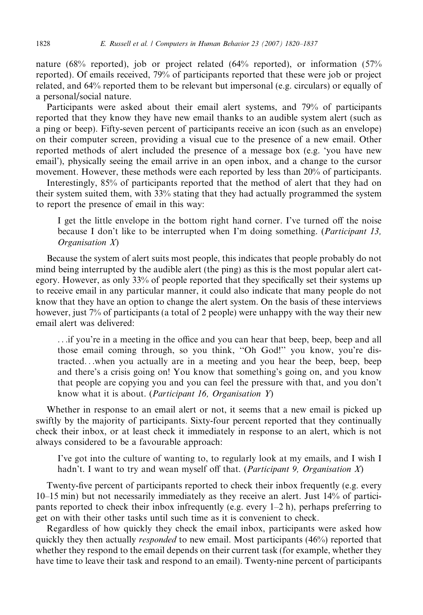nature (68% reported), job or project related (64% reported), or information (57% reported). Of emails received, 79% of participants reported that these were job or project related, and 64% reported them to be relevant but impersonal (e.g. circulars) or equally of a personal/social nature.

Participants were asked about their email alert systems, and 79% of participants reported that they know they have new email thanks to an audible system alert (such as a ping or beep). Fifty-seven percent of participants receive an icon (such as an envelope) on their computer screen, providing a visual cue to the presence of a new email. Other reported methods of alert included the presence of a message box (e.g. 'you have new email'), physically seeing the email arrive in an open inbox, and a change to the cursor movement. However, these methods were each reported by less than 20% of participants.

Interestingly, 85% of participants reported that the method of alert that they had on their system suited them, with 33% stating that they had actually programmed the system to report the presence of email in this way:

I get the little envelope in the bottom right hand corner. I've turned off the noise because I don't like to be interrupted when I'm doing something. (Participant 13, Organisation X)

Because the system of alert suits most people, this indicates that people probably do not mind being interrupted by the audible alert (the ping) as this is the most popular alert category. However, as only 33% of people reported that they specifically set their systems up to receive email in any particular manner, it could also indicate that many people do not know that they have an option to change the alert system. On the basis of these interviews however, just 7% of participants (a total of 2 people) were unhappy with the way their new email alert was delivered:

...if you're in a meeting in the office and you can hear that beep, beep, beep and all those email coming through, so you think, ''Oh God!'' you know, you're distracted...when you actually are in a meeting and you hear the beep, beep, beep and there's a crisis going on! You know that something's going on, and you know that people are copying you and you can feel the pressure with that, and you don't know what it is about. (Participant 16, Organisation Y)

Whether in response to an email alert or not, it seems that a new email is picked up swiftly by the majority of participants. Sixty-four percent reported that they continually check their inbox, or at least check it immediately in response to an alert, which is not always considered to be a favourable approach:

I've got into the culture of wanting to, to regularly look at my emails, and I wish I hadn't. I want to try and wean myself off that. (*Participant 9, Organisation X*)

Twenty-five percent of participants reported to check their inbox frequently (e.g. every 10–15 min) but not necessarily immediately as they receive an alert. Just 14% of participants reported to check their inbox infrequently (e.g. every 1–2 h), perhaps preferring to get on with their other tasks until such time as it is convenient to check.

Regardless of how quickly they check the email inbox, participants were asked how quickly they then actually *responded* to new email. Most participants  $(46%)$  reported that whether they respond to the email depends on their current task (for example, whether they have time to leave their task and respond to an email). Twenty-nine percent of participants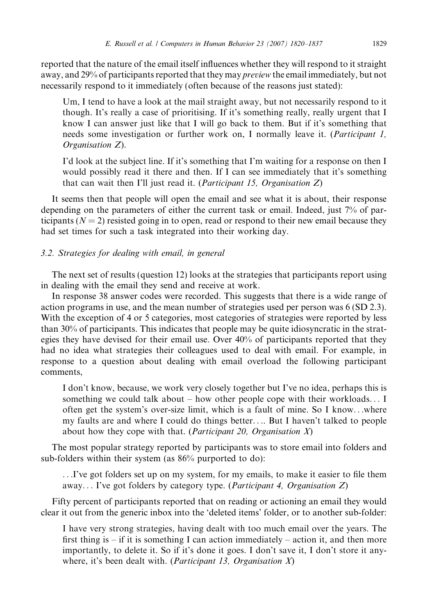reported that the nature of the email itself influences whether they will respond to it straight away, and 29% of participants reported that they may preview the email immediately, but not necessarily respond to it immediately (often because of the reasons just stated):

Um, I tend to have a look at the mail straight away, but not necessarily respond to it though. It's really a case of prioritising. If it's something really, really urgent that I know I can answer just like that I will go back to them. But if it's something that needs some investigation or further work on, I normally leave it. (Participant 1, Organisation Z).

I'd look at the subject line. If it's something that I'm waiting for a response on then I would possibly read it there and then. If I can see immediately that it's something that can wait then I'll just read it. (*Participant 15, Organisation Z*)

It seems then that people will open the email and see what it is about, their response depending on the parameters of either the current task or email. Indeed, just 7% of participants ( $N = 2$ ) resisted going in to open, read or respond to their new email because they had set times for such a task integrated into their working day.

# 3.2. Strategies for dealing with email, in general

The next set of results (question 12) looks at the strategies that participants report using in dealing with the email they send and receive at work.

In response 38 answer codes were recorded. This suggests that there is a wide range of action programs in use, and the mean number of strategies used per person was 6 (SD 2.3). With the exception of 4 or 5 categories, most categories of strategies were reported by less than 30% of participants. This indicates that people may be quite idiosyncratic in the strategies they have devised for their email use. Over 40% of participants reported that they had no idea what strategies their colleagues used to deal with email. For example, in response to a question about dealing with email overload the following participant comments,

I don't know, because, we work very closely together but I've no idea, perhaps this is something we could talk about – how other people cope with their workloads... I often get the system's over-size limit, which is a fault of mine. So I know...where my faults are and where I could do things better.... But I haven't talked to people about how they cope with that. (*Participant 20, Organisation X*)

The most popular strategy reported by participants was to store email into folders and sub-folders within their system (as  $86\%$  purported to do):

...I've got folders set up on my system, for my emails, to make it easier to file them away... I've got folders by category type. (*Participant 4, Organisation Z*)

Fifty percent of participants reported that on reading or actioning an email they would clear it out from the generic inbox into the 'deleted items' folder, or to another sub-folder:

I have very strong strategies, having dealt with too much email over the years. The first thing is  $-$  if it is something I can action immediately  $-$  action it, and then more importantly, to delete it. So if it's done it goes. I don't save it, I don't store it anywhere, it's been dealt with. (*Participant 13, Organisation X*)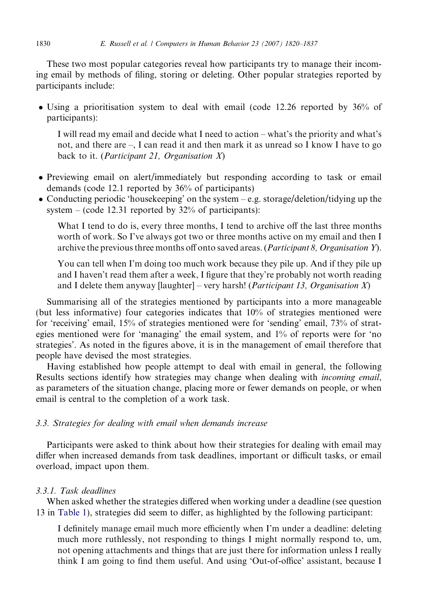These two most popular categories reveal how participants try to manage their incoming email by methods of filing, storing or deleting. Other popular strategies reported by participants include:

• Using a prioritisation system to deal with email (code 12.26 reported by 36% of participants):

I will read my email and decide what I need to action – what's the priority and what's not, and there are –, I can read it and then mark it as unread so I know I have to go back to it. (*Participant 21*, *Organisation X*)

- Previewing email on alert/immediately but responding according to task or email demands (code 12.1 reported by 36% of participants)
- Conducting periodic 'housekeeping' on the system e.g. storage/deletion/tidying up the system – (code 12.31 reported by  $32\%$  of participants):

What I tend to do is, every three months, I tend to archive off the last three months worth of work. So I've always got two or three months active on my email and then I archive the previous three months off onto saved areas. (*Participant 8, Organisation Y*).

You can tell when I'm doing too much work because they pile up. And if they pile up and I haven't read them after a week, I figure that they're probably not worth reading and I delete them anyway [laughter] – very harsh! (*Participant 13, Organisation X*)

Summarising all of the strategies mentioned by participants into a more manageable (but less informative) four categories indicates that 10% of strategies mentioned were for 'receiving' email, 15% of strategies mentioned were for 'sending' email, 73% of strategies mentioned were for 'managing' the email system, and 1% of reports were for 'no strategies'. As noted in the figures above, it is in the management of email therefore that people have devised the most strategies.

Having established how people attempt to deal with email in general, the following Results sections identify how strategies may change when dealing with incoming email, as parameters of the situation change, placing more or fewer demands on people, or when email is central to the completion of a work task.

# 3.3. Strategies for dealing with email when demands increase

Participants were asked to think about how their strategies for dealing with email may differ when increased demands from task deadlines, important or difficult tasks, or email overload, impact upon them.

# 3.3.1. Task deadlines

When asked whether the strategies differed when working under a deadline (see question 13 in [Table 1](#page-4-0)), strategies did seem to differ, as highlighted by the following participant:

I definitely manage email much more efficiently when I'm under a deadline: deleting much more ruthlessly, not responding to things I might normally respond to, um, not opening attachments and things that are just there for information unless I really think I am going to find them useful. And using 'Out-of-office' assistant, because I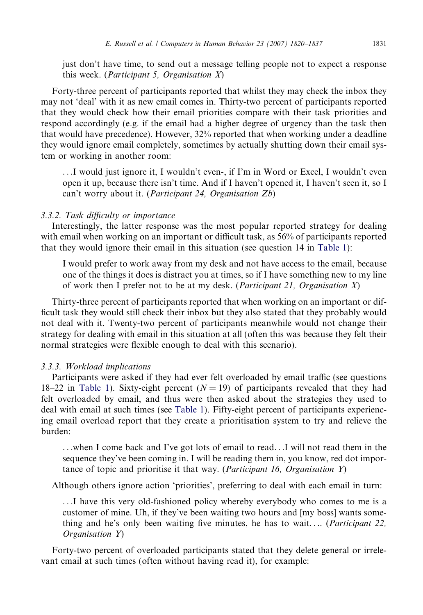just don't have time, to send out a message telling people not to expect a response this week. (*Participant 5, Organisation X*)

Forty-three percent of participants reported that whilst they may check the inbox they may not 'deal' with it as new email comes in. Thirty-two percent of participants reported that they would check how their email priorities compare with their task priorities and respond accordingly (e.g. if the email had a higher degree of urgency than the task then that would have precedence). However, 32% reported that when working under a deadline they would ignore email completely, sometimes by actually shutting down their email system or working in another room:

...I would just ignore it, I wouldn't even-, if I'm in Word or Excel, I wouldn't even open it up, because there isn't time. And if I haven't opened it, I haven't seen it, so I can't worry about it. (Participant 24, Organisation Zb)

# 3.3.2. Task difficulty or importance

Interestingly, the latter response was the most popular reported strategy for dealing with email when working on an important or difficult task, as 56% of participants reported that they would ignore their email in this situation (see question 14 in [Table 1\)](#page-4-0):

I would prefer to work away from my desk and not have access to the email, because one of the things it does is distract you at times, so if I have something new to my line of work then I prefer not to be at my desk. (*Participant 21*, *Organisation X*)

Thirty-three percent of participants reported that when working on an important or difficult task they would still check their inbox but they also stated that they probably would not deal with it. Twenty-two percent of participants meanwhile would not change their strategy for dealing with email in this situation at all (often this was because they felt their normal strategies were flexible enough to deal with this scenario).

#### 3.3.3. Workload implications

Participants were asked if they had ever felt overloaded by email traffic (see questions 18–22 in [Table 1](#page-4-0)). Sixty-eight percent  $(N = 19)$  of participants revealed that they had felt overloaded by email, and thus were then asked about the strategies they used to deal with email at such times (see [Table 1](#page-4-0)). Fifty-eight percent of participants experiencing email overload report that they create a prioritisation system to try and relieve the burden:

...when I come back and I've got lots of email to read...I will not read them in the sequence they've been coming in. I will be reading them in, you know, red dot importance of topic and prioritise it that way. (Participant 16, Organisation Y)

Although others ignore action 'priorities', preferring to deal with each email in turn:

...I have this very old-fashioned policy whereby everybody who comes to me is a customer of mine. Uh, if they've been waiting two hours and [my boss] wants something and he's only been waiting five minutes, he has to wait.... (Participant 22, Organisation Y)

Forty-two percent of overloaded participants stated that they delete general or irrelevant email at such times (often without having read it), for example: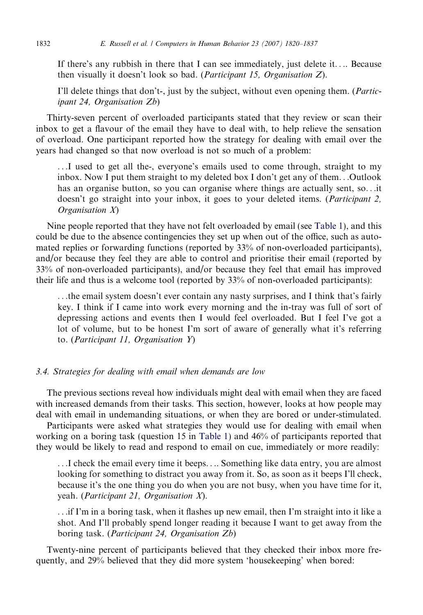If there's any rubbish in there that I can see immediately, just delete it.... Because then visually it doesn't look so bad. (*Participant 15, Organisation Z*).

I'll delete things that don't-, just by the subject, without even opening them. (Participant 24, Organisation Zb)

Thirty-seven percent of overloaded participants stated that they review or scan their inbox to get a flavour of the email they have to deal with, to help relieve the sensation of overload. One participant reported how the strategy for dealing with email over the years had changed so that now overload is not so much of a problem:

...I used to get all the-, everyone's emails used to come through, straight to my inbox. Now I put them straight to my deleted box I don't get any of them...Outlook has an organise button, so you can organise where things are actually sent, so...it doesn't go straight into your inbox, it goes to your deleted items. (Participant 2, Organisation X)

Nine people reported that they have not felt overloaded by email (see [Table 1\)](#page-4-0), and this could be due to the absence contingencies they set up when out of the office, such as automated replies or forwarding functions (reported by 33% of non-overloaded participants), and/or because they feel they are able to control and prioritise their email (reported by 33% of non-overloaded participants), and/or because they feel that email has improved their life and thus is a welcome tool (reported by 33% of non-overloaded participants):

...the email system doesn't ever contain any nasty surprises, and I think that's fairly key. I think if I came into work every morning and the in-tray was full of sort of depressing actions and events then I would feel overloaded. But I feel I've got a lot of volume, but to be honest I'm sort of aware of generally what it's referring to. (Participant 11, Organisation Y)

# 3.4. Strategies for dealing with email when demands are low

The previous sections reveal how individuals might deal with email when they are faced with increased demands from their tasks. This section, however, looks at how people may deal with email in undemanding situations, or when they are bored or under-stimulated.

Participants were asked what strategies they would use for dealing with email when working on a boring task (question 15 in [Table 1\)](#page-4-0) and 46% of participants reported that they would be likely to read and respond to email on cue, immediately or more readily:

...I check the email every time it beeps.... Something like data entry, you are almost looking for something to distract you away from it. So, as soon as it beeps I'll check, because it's the one thing you do when you are not busy, when you have time for it, yeah. (Participant 21, Organisation X).

...if I'm in a boring task, when it flashes up new email, then I'm straight into it like a shot. And I'll probably spend longer reading it because I want to get away from the boring task. (*Participant 24, Organisation Zb*)

Twenty-nine percent of participants believed that they checked their inbox more frequently, and 29% believed that they did more system 'housekeeping' when bored: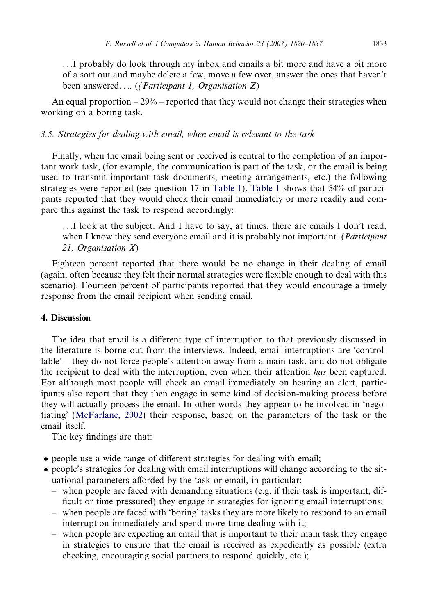...I probably do look through my inbox and emails a bit more and have a bit more of a sort out and maybe delete a few, move a few over, answer the ones that haven't been answered.... (*(Participant 1, Organisation Z)* 

An equal proportion  $-29\%$  – reported that they would not change their strategies when working on a boring task.

# 3.5. Strategies for dealing with email, when email is relevant to the task

Finally, when the email being sent or received is central to the completion of an important work task, (for example, the communication is part of the task, or the email is being used to transmit important task documents, meeting arrangements, etc.) the following strategies were reported (see question 17 in [Table 1\)](#page-4-0). [Table 1](#page-4-0) shows that 54% of participants reported that they would check their email immediately or more readily and compare this against the task to respond accordingly:

...I look at the subject. And I have to say, at times, there are emails I don't read, when I know they send everyone email and it is probably not important. (*Participant* 21, Organisation X)

Eighteen percent reported that there would be no change in their dealing of email (again, often because they felt their normal strategies were flexible enough to deal with this scenario). Fourteen percent of participants reported that they would encourage a timely response from the email recipient when sending email.

#### 4. Discussion

The idea that email is a different type of interruption to that previously discussed in the literature is borne out from the interviews. Indeed, email interruptions are 'controllable' – they do not force people's attention away from a main task, and do not obligate the recipient to deal with the interruption, even when their attention has been captured. For although most people will check an email immediately on hearing an alert, participants also report that they then engage in some kind of decision-making process before they will actually process the email. In other words they appear to be involved in 'negotiating' [\(McFarlane, 2002\)](#page-17-0) their response, based on the parameters of the task or the email itself.

The key findings are that:

- people use a wide range of different strategies for dealing with email;
- people's strategies for dealing with email interruptions will change according to the situational parameters afforded by the task or email, in particular:
	- when people are faced with demanding situations (e.g. if their task is important, difficult or time pressured) they engage in strategies for ignoring email interruptions;
	- when people are faced with 'boring' tasks they are more likely to respond to an email interruption immediately and spend more time dealing with it;
	- when people are expecting an email that is important to their main task they engage in strategies to ensure that the email is received as expediently as possible (extra checking, encouraging social partners to respond quickly, etc.);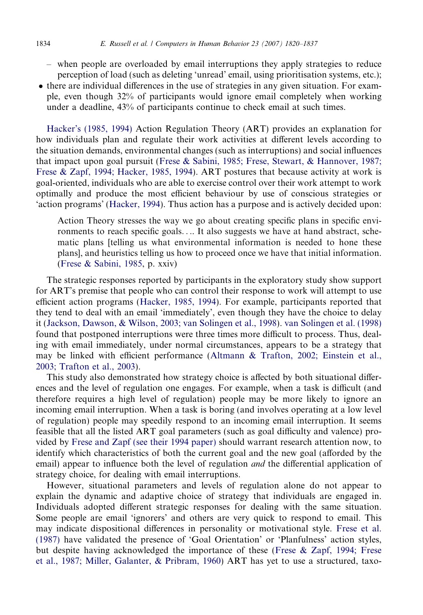- when people are overloaded by email interruptions they apply strategies to reduce perception of load (such as deleting 'unread' email, using prioritisation systems, etc.);
- there are individual differences in the use of strategies in any given situation. For example, even though 32% of participants would ignore email completely when working under a deadline, 43% of participants continue to check email at such times.

[Hacker's \(1985, 1994\)](#page-16-0) Action Regulation Theory (ART) provides an explanation for how individuals plan and regulate their work activities at different levels according to the situation demands, environmental changes (such as interruptions) and social influences that impact upon goal pursuit [\(Frese & Sabini, 1985; Frese, Stewart, & Hannover, 1987;](#page-16-0) [Frese & Zapf, 1994; Hacker, 1985, 1994](#page-16-0)). ART postures that because activity at work is goal-oriented, individuals who are able to exercise control over their work attempt to work optimally and produce the most efficient behaviour by use of conscious strategies or 'action programs' ([Hacker, 1994](#page-16-0)). Thus action has a purpose and is actively decided upon:

Action Theory stresses the way we go about creating specific plans in specific environments to reach specific goals.... It also suggests we have at hand abstract, schematic plans [telling us what environmental information is needed to hone these plans], and heuristics telling us how to proceed once we have that initial information. ([Frese & Sabini, 1985](#page-16-0), p. xxiv)

The strategic responses reported by participants in the exploratory study show support for ART's premise that people who can control their response to work will attempt to use efficient action programs ([Hacker, 1985, 1994](#page-16-0)). For example, participants reported that they tend to deal with an email 'immediately', even though they have the choice to delay it ([Jackson, Dawson, & Wilson, 2003; van Solingen et al., 1998](#page-16-0)). [van Solingen et al. \(1998\)](#page-17-0) found that postponed interruptions were three times more difficult to process. Thus, dealing with email immediately, under normal circumstances, appears to be a strategy that may be linked with efficient performance ([Altmann & Trafton, 2002; Einstein et al.,](#page-16-0) [2003; Trafton et al., 2003\)](#page-16-0).

This study also demonstrated how strategy choice is affected by both situational differences and the level of regulation one engages. For example, when a task is difficult (and therefore requires a high level of regulation) people may be more likely to ignore an incoming email interruption. When a task is boring (and involves operating at a low level of regulation) people may speedily respond to an incoming email interruption. It seems feasible that all the listed ART goal parameters (such as goal difficulty and valence) provided by [Frese and Zapf \(see their 1994 paper\)](#page-16-0) should warrant research attention now, to identify which characteristics of both the current goal and the new goal (afforded by the email) appear to influence both the level of regulation *and* the differential application of strategy choice, for dealing with email interruptions.

However, situational parameters and levels of regulation alone do not appear to explain the dynamic and adaptive choice of strategy that individuals are engaged in. Individuals adopted different strategic responses for dealing with the same situation. Some people are email 'ignorers' and others are very quick to respond to email. This may indicate dispositional differences in personality or motivational style. [Frese et al.](#page-16-0) [\(1987\)](#page-16-0) have validated the presence of 'Goal Orientation' or 'Planfulness' action styles, but despite having acknowledged the importance of these [\(Frese & Zapf, 1994; Frese](#page-16-0) [et al., 1987; Miller, Galanter, & Pribram, 1960](#page-16-0)) ART has yet to use a structured, taxo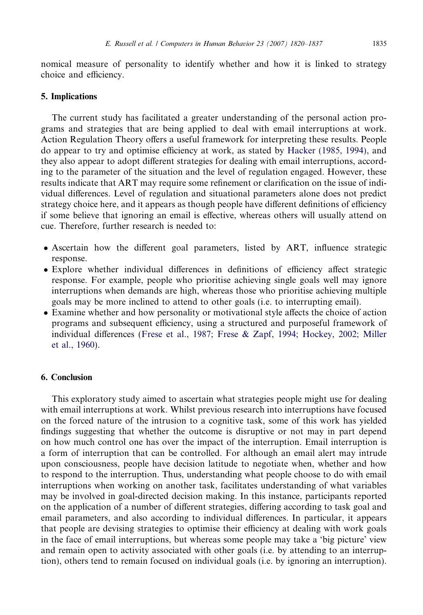nomical measure of personality to identify whether and how it is linked to strategy choice and efficiency.

# 5. Implications

The current study has facilitated a greater understanding of the personal action programs and strategies that are being applied to deal with email interruptions at work. Action Regulation Theory offers a useful framework for interpreting these results. People do appear to try and optimise efficiency at work, as stated by [Hacker \(1985, 1994\),](#page-16-0) and they also appear to adopt different strategies for dealing with email interruptions, according to the parameter of the situation and the level of regulation engaged. However, these results indicate that ART may require some refinement or clarification on the issue of individual differences. Level of regulation and situational parameters alone does not predict strategy choice here, and it appears as though people have different definitions of efficiency if some believe that ignoring an email is effective, whereas others will usually attend on cue. Therefore, further research is needed to:

- Ascertain how the different goal parameters, listed by ART, influence strategic response.
- Explore whether individual differences in definitions of efficiency affect strategic response. For example, people who prioritise achieving single goals well may ignore interruptions when demands are high, whereas those who prioritise achieving multiple goals may be more inclined to attend to other goals (i.e. to interrupting email).
- Examine whether and how personality or motivational style affects the choice of action programs and subsequent efficiency, using a structured and purposeful framework of individual differences ([Frese et al., 1987; Frese & Zapf, 1994; Hockey, 2002; Miller](#page-16-0) [et al., 1960\)](#page-16-0).

# 6. Conclusion

This exploratory study aimed to ascertain what strategies people might use for dealing with email interruptions at work. Whilst previous research into interruptions have focused on the forced nature of the intrusion to a cognitive task, some of this work has yielded findings suggesting that whether the outcome is disruptive or not may in part depend on how much control one has over the impact of the interruption. Email interruption is a form of interruption that can be controlled. For although an email alert may intrude upon consciousness, people have decision latitude to negotiate when, whether and how to respond to the interruption. Thus, understanding what people choose to do with email interruptions when working on another task, facilitates understanding of what variables may be involved in goal-directed decision making. In this instance, participants reported on the application of a number of different strategies, differing according to task goal and email parameters, and also according to individual differences. In particular, it appears that people are devising strategies to optimise their efficiency at dealing with work goals in the face of email interruptions, but whereas some people may take a 'big picture' view and remain open to activity associated with other goals (i.e. by attending to an interruption), others tend to remain focused on individual goals (i.e. by ignoring an interruption).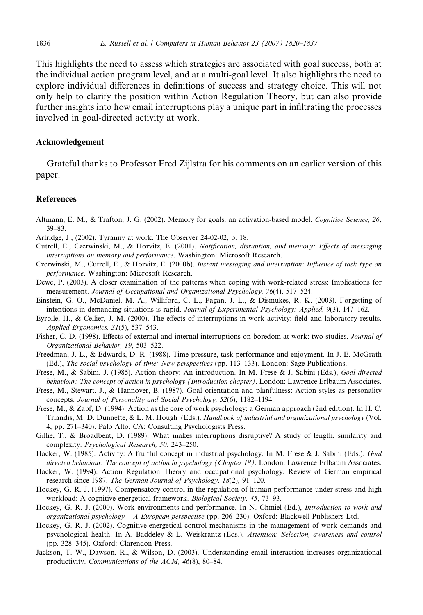This highlights the need to assess which strategies are associated with goal success, both at the individual action program level, and at a multi-goal level. It also highlights the need to explore individual differences in definitions of success and strategy choice. This will not only help to clarify the position within Action Regulation Theory, but can also provide further insights into how email interruptions play a unique part in infiltrating the processes involved in goal-directed activity at work.

# Acknowledgement

Grateful thanks to Professor Fred Zijlstra for his comments on an earlier version of this paper.

#### **References**

- Altmann, E. M., & Trafton, J. G. (2002). Memory for goals: an activation-based model. Cognitive Science, 26, 39–83.
- Arlridge, J., (2002). Tyranny at work. The Observer 24-02-02, p. 18.
- Cutrell, E., Czerwinski, M., & Horvitz, E. (2001). Notification, disruption, and memory: Effects of messaging interruptions on memory and performance. Washington: Microsoft Research.
- Czerwinski, M., Cutrell, E., & Horvitz, E. (2000b). Instant messaging and interruption: Influence of task type on performance. Washington: Microsoft Research.
- Dewe, P. (2003). A closer examination of the patterns when coping with work-related stress: Implications for measurement. Journal of Occupational and Organizational Psychology, 76(4), 517–524.
- Einstein, G. O., McDaniel, M. A., Williford, C. L., Pagan, J. L., & Dismukes, R. K. (2003). Forgetting of intentions in demanding situations is rapid. Journal of Experimental Psychology: Applied, 9(3), 147-162.
- Eyrolle, H., & Cellier, J. M. (2000). The effects of interruptions in work activity: field and laboratory results. Applied Ergonomics, 31(5), 537–543.
- Fisher, C. D. (1998). Effects of external and internal interruptions on boredom at work: two studies. Journal of Organizational Behavior, 19, 503–522.
- Freedman, J. L., & Edwards, D. R. (1988). Time pressure, task performance and enjoyment. In J. E. McGrath (Ed.), The social psychology of time: New perspectives (pp. 113–133). London: Sage Publications.
- Frese, M., & Sabini, J. (1985). Action theory: An introduction. In M. Frese & J. Sabini (Eds.), Goal directed behaviour: The concept of action in psychology (Introduction chapter). London: Lawrence Erlbaum Associates.
- Frese, M., Stewart, J., & Hannover, B. (1987). Goal orientation and planfulness: Action styles as personality concepts. Journal of Personality and Social Psychology, 52(6), 1182–1194.
- Frese, M., & Zapf, D. (1994). Action as the core of work psychology: a German approach (2nd edition). In H. C. Triandis, M. D. Dunnette, & L. M. Hough (Eds.). Handbook of industrial and organizational psychology (Vol. 4, pp. 271–340). Palo Alto, CA: Consulting Psychologists Press.
- Gillie, T., & Broadbent, D. (1989). What makes interruptions disruptive? A study of length, similarity and complexity. Psychological Research, 50, 243–250.
- Hacker, W. (1985). Activity: A fruitful concept in industrial psychology. In M. Frese & J. Sabini (Eds.), Goal directed behaviour: The concept of action in psychology (Chapter 18). London: Lawrence Erlbaum Associates.
- Hacker, W. (1994). Action Regulation Theory and occupational psychology. Review of German empirical research since 1987. The German Journal of Psychology, 18(2), 91-120.
- Hockey, G. R. J. (1997). Compensatory control in the regulation of human performance under stress and high workload: A cognitive-energetical framework. Biological Society, 45, 73-93.
- Hockey, G. R. J. (2000). Work environments and performance. In N. Chmiel (Ed.), Introduction to work and organizational psychology – A European perspective (pp. 206–230). Oxford: Blackwell Publishers Ltd.
- Hockey, G. R. J. (2002). Cognitive-energetical control mechanisms in the management of work demands and psychological health. In A. Baddeley & L. Weiskrantz (Eds.), Attention: Selection, awareness and control (pp. 328–345). Oxford: Clarendon Press.
- Jackson, T. W., Dawson, R., & Wilson, D. (2003). Understanding email interaction increases organizational productivity. Communications of the ACM, 46(8), 80–84.

<span id="page-16-0"></span>